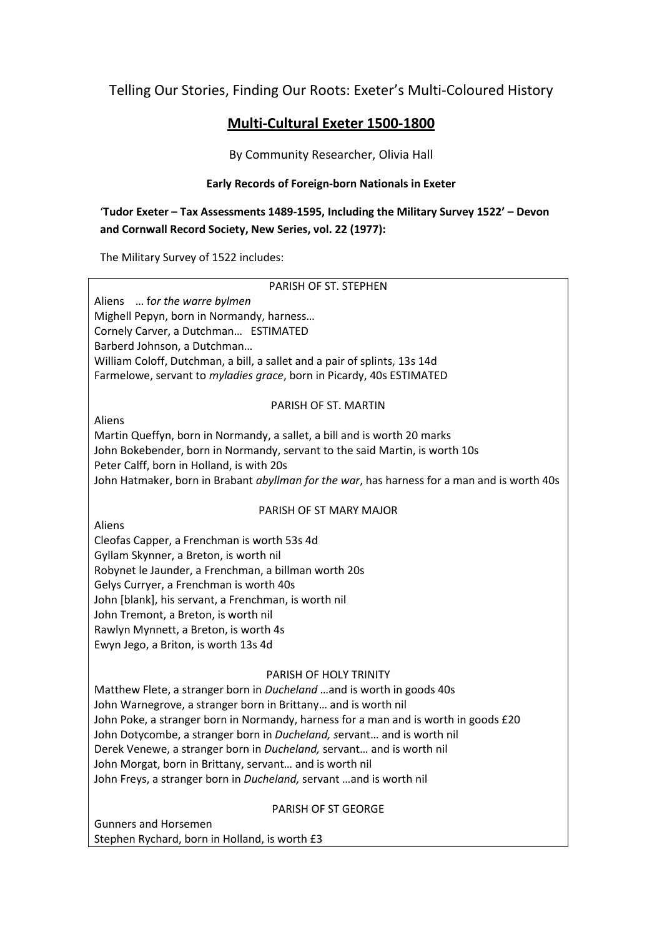Telling Our Stories, Finding Our Roots: Exeter's Multi-Coloured History

# **Multi-Cultural Exeter 1500-1800**

By Community Researcher, Olivia Hall

## **Early Records of Foreign-born Nationals in Exeter**

'**Tudor Exeter – Tax Assessments 1489-1595, Including the Military Survey 1522' – Devon and Cornwall Record Society, New Series, vol. 22 (1977):** 

The Military Survey of 1522 includes:

#### PARISH OF ST. STEPHEN

Aliens … f*or the warre bylmen*  Mighell Pepyn, born in Normandy, harness… Cornely Carver, a Dutchman… ESTIMATED Barberd Johnson, a Dutchman… William Coloff, Dutchman, a bill, a sallet and a pair of splints, 13s 14d Farmelowe, servant to *myladies grace*, born in Picardy, 40s ESTIMATED

#### PARISH OF ST. MARTIN

Aliens

Martin Queffyn, born in Normandy, a sallet, a bill and is worth 20 marks John Bokebender, born in Normandy, servant to the said Martin, is worth 10s Peter Calff, born in Holland, is with 20s John Hatmaker, born in Brabant *abyllman for the war*, has harness for a man and is worth 40s

## PARISH OF ST MARY MAJOR

Aliens

Cleofas Capper, a Frenchman is worth 53s 4d Gyllam Skynner, a Breton, is worth nil Robynet le Jaunder, a Frenchman, a billman worth 20s Gelys Curryer, a Frenchman is worth 40s John [blank], his servant, a Frenchman, is worth nil John Tremont, a Breton, is worth nil Rawlyn Mynnett, a Breton, is worth 4s Ewyn Jego, a Briton, is worth 13s 4d

## PARISH OF HOLY TRINITY

Matthew Flete, a stranger born in *Ducheland* …and is worth in goods 40s John Warnegrove, a stranger born in Brittany… and is worth nil John Poke, a stranger born in Normandy, harness for a man and is worth in goods £20 John Dotycombe, a stranger born in *Ducheland, s*ervant… and is worth nil Derek Venewe, a stranger born in *Ducheland,* servant… and is worth nil John Morgat, born in Brittany, servant… and is worth nil John Freys, a stranger born in *Ducheland,* servant …and is worth nil

## PARISH OF ST GEORGE

Gunners and Horsemen Stephen Rychard, born in Holland, is worth £3